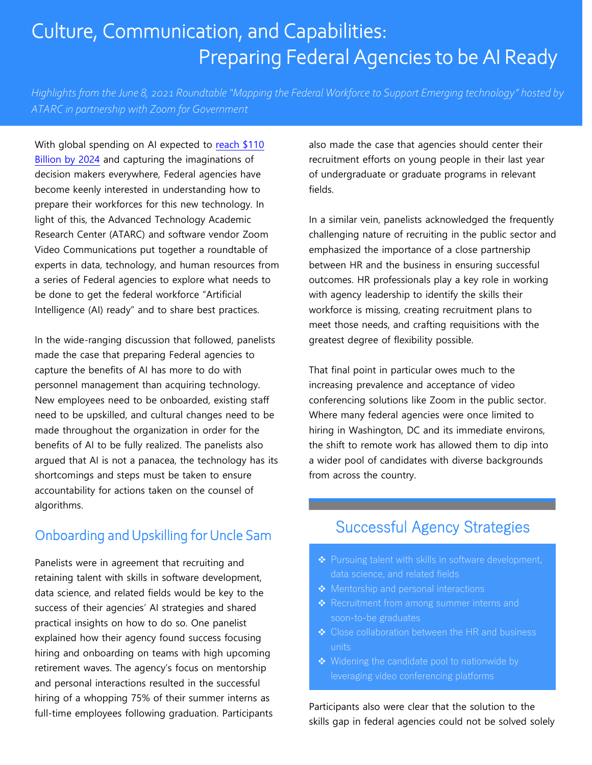# Culture, Communication, and Capabilities: Preparing Federal Agencies to be AI Ready

*Highlights from the June 8, 2021 Roundtable "Mapping the Federal Workforce to Support Emerging technology" hosted by ATARC in partnership with Zoom for Government*

With global spending on AI expected to [reach \\$110](https://www.idc.com/getdoc.jsp?containerId=prUS46794720) Billion [by 2024](https://www.idc.com/getdoc.jsp?containerId=prUS46794720) and capturing the imaginations of decision makers everywhere, Federal agencies have become keenly interested in understanding how to prepare their workforces for this new technology. In light of this, the Advanced Technology Academic Research Center (ATARC) and software vendor Zoom Video Communications put together a roundtable of experts in data, technology, and human resources from a series of Federal agencies to explore what needs to be done to get the federal workforce "Artificial Intelligence (AI) ready" and to share best practices.

In the wide-ranging discussion that followed, panelists made the case that preparing Federal agencies to capture the benefits of AI has more to do with personnel management than acquiring technology. New employees need to be onboarded, existing staff need to be upskilled, and cultural changes need to be made throughout the organization in order for the benefits of AI to be fully realized. The panelists also argued that AI is not a panacea, the technology has its shortcomings and steps must be taken to ensure accountability for actions taken on the counsel of algorithms.

### Onboarding and Upskilling for Uncle Sam

Panelists were in agreement that recruiting and retaining talent with skills in software development, data science, and related fields would be key to the success of their agencies' AI strategies and shared practical insights on how to do so. One panelist explained how their agency found success focusing hiring and onboarding on teams with high upcoming retirement waves. The agency's focus on mentorship and personal interactions resulted in the successful hiring of a whopping 75% of their summer interns as full-time employees following graduation. Participants

also made the case that agencies should center their recruitment efforts on young people in their last year of undergraduate or graduate programs in relevant fields.

In a similar vein, panelists acknowledged the frequently challenging nature of recruiting in the public sector and emphasized the importance of a close partnership between HR and the business in ensuring successful outcomes. HR professionals play a key role in working with agency leadership to identify the skills their workforce is missing, creating recruitment plans to meet those needs, and crafting requisitions with the greatest degree of flexibility possible.

That final point in particular owes much to the increasing prevalence and acceptance of video conferencing solutions like Zoom in the public sector. Where many federal agencies were once limited to hiring in Washington, DC and its immediate environs, the shift to remote work has allowed them to dip into a wider pool of candidates with diverse backgrounds from across the country.

## Successful Agency Strategies

- ❖ Pursuing talent with skills in software development, data science, and related fields
- 
- ❖ Recruitment from among summer interns and soon-to-be graduates
- ❖ Close collaboration between the HR and business units
- ❖ Widening the candidate pool to nationwide by leveraging video conferencing platforms

Participants also were clear that the solution to the skills gap in federal agencies could not be solved solely